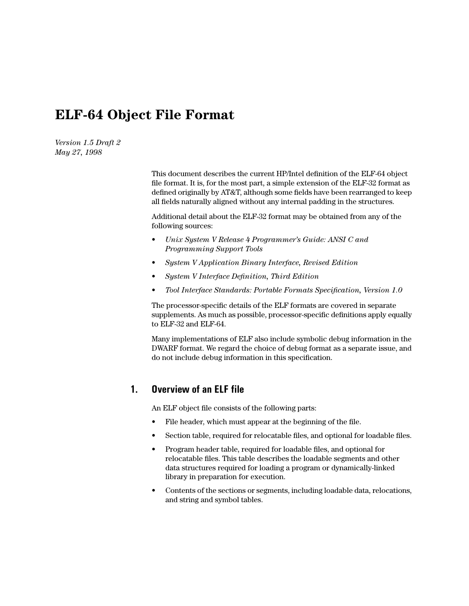# **ELF-64 Object File Format**

*Version 1.5 Draft 2 May 27, 1998*

> This document describes the current HP/Intel definition of the ELF-64 object file format. It is, for the most part, a simple extension of the ELF-32 format as defined originally by AT&T, although some fields have been rearranged to keep all fields naturally aligned without any internal padding in the structures.

Additional detail about the ELF-32 format may be obtained from any of the following sources:

- *Unix System V Release 4 Programmer's Guide: ANSI C and Programming Support Tools*
- *System V Application Binary Interface, Revised Edition*
- *System V Interface Definition, Third Edition*
- *Tool Interface Standards: Portable Formats Specification, Version 1.0*

The processor-specific details of the ELF formats are covered in separate supplements. As much as possible, processor-specific definitions apply equally to ELF-32 and ELF-64.

Many implementations of ELF also include symbolic debug information in the DWARF format. We regard the choice of debug format as a separate issue, and do not include debug information in this specification.

## **1. Overview of an ELF file**

An ELF object file consists of the following parts:

- File header, which must appear at the beginning of the file.
- Section table, required for relocatable files, and optional for loadable files.
- Program header table, required for loadable files, and optional for relocatable files. This table describes the loadable segments and other data structures required for loading a program or dynamically-linked library in preparation for execution.
- Contents of the sections or segments, including loadable data, relocations, and string and symbol tables.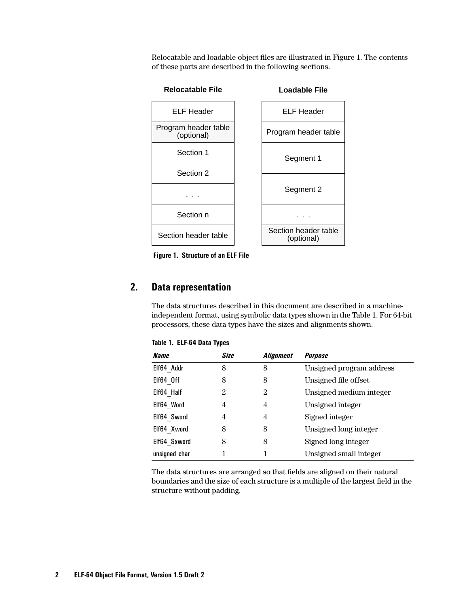Relocatable and loadable object files are illustrated in Figure 1. The contents of these parts are described in the following sections.



## **2. Data representation**

The data structures described in this document are described in a machineindependent format, using symbolic data types shown in the Table 1. For 64-bit processors, these data types have the sizes and alignments shown.

| <b>Name</b>   | Size           | <i><b>Alignment</b></i> | <b>Purpose</b>           |
|---------------|----------------|-------------------------|--------------------------|
| Elf64 Addr    | 8              | 8                       | Unsigned program address |
| Elf64 Off     | 8              | 8                       | Unsigned file offset     |
| Elf64 Half    | $\overline{2}$ | 2                       | Unsigned medium integer  |
| Elf64 Word    | 4              | 4                       | Unsigned integer         |
| Elf64 Sword   | 4              | 4                       | Signed integer           |
| Elf64 Xword   | 8              | 8                       | Unsigned long integer    |
| Elf64 Sxword  | 8              | 8                       | Signed long integer      |
| unsigned char |                |                         | Unsigned small integer   |

**Table 1. ELF-64 Data Types**

The data structures are arranged so that fields are aligned on their natural boundaries and the size of each structure is a multiple of the largest field in the structure without padding.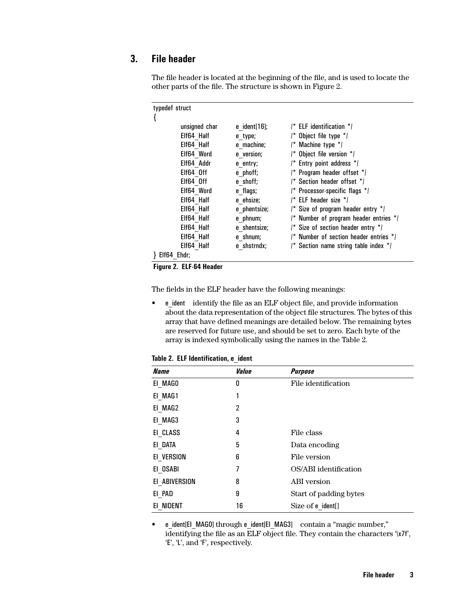## **3. File header**

| typedef struct |                 |                                                      |
|----------------|-----------------|------------------------------------------------------|
|                |                 |                                                      |
| unsigned char  | e $ident[16]$ ; | /* ELF identification */                             |
| Elf64 Half     | e type;         | /* Object file type */                               |
| Elf64 Half     | e machine;      | /* Machine type */                                   |
| Elf64 Word     | e version;      | $/*$ Object file version $*$                         |
| Elf64 Addr     | e entry;        | /* Entry point address */                            |
| Elf64 Off      | e phoff;        | /* Program header offset */                          |
| Elf64 Off      | e shoff;        | /* Section header offset */                          |
| Elf64 Word     | e flags;        | /* Processor-specific flags */                       |
| Elf64 Half     | e ehsize;       | $I^*$ ELF header size $*I$                           |
| Elf64 Half     | e phentsize;    | /* Size of program header entry */                   |
| Elf64 Half     | e phnum;        | $\prime^*$ Number of program header entries $\prime$ |
| Elf64 Half     | e shentsize;    | /* Size of section header entry */                   |
| Elf64 Half     | e shnum;        | /* Number of section header entries */               |
| Elf64 Half     | e shstrndx;     | /* Section name string table index */                |
| Elf64 Ehdr;    |                 |                                                      |

The file header is located at the beginning of the file, and is used to locate the other parts of the file. The structure is shown in Figure 2.

 **Figure 2. ELF-64 Header**

The fields in the ELF header have the following meanings:

• e\_ident identify the file as an ELF object file, and provide information about the data representation of the object file structures. The bytes of this array that have defined meanings are detailed below. The remaining bytes are reserved for future use, and should be set to zero. Each byte of the array is indexed symbolically using the names in the Table 2.

|  |  | Table 2. ELF Identification, e ident |  |
|--|--|--------------------------------------|--|
|--|--|--------------------------------------|--|

| <b>Name</b>   | Value | <b>Purpose</b>         |
|---------------|-------|------------------------|
| EI MAGO       | 0     | File identification    |
| EI MAG1       | 1     |                        |
| EI MAG2       | 2     |                        |
| EI MAG3       | 3     |                        |
| EI CLASS      | 4     | File class             |
| EI DATA       | 5     | Data encoding          |
| EI VERSION    | 6     | File version           |
| EI OSABI      | 7     | OS/ABI identification  |
| EI ABIVERSION | 8     | <b>ABI</b> version     |
| EI PAD        | 9     | Start of padding bytes |
| EI NIDENT     | 16    | Size of e ident[]      |

• e\_ident[EI\_MAG0] through e\_ident[EI\_MAG3] contain a "magic number," identifying the file as an ELF object file. They contain the characters '\x7f', 'E', 'L', and 'F', respectively.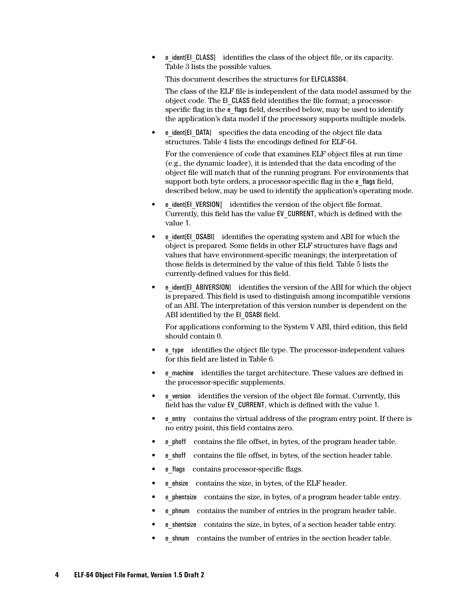• e\_ident[EI\_CLASS] identifies the class of the object file, or its capacity. [Table 3](#page-4-0) lists the possible values.

This document describes the structures for ELFCLASS64.

The class of the ELF file is independent of the data model assumed by the object code. The EI\_CLASS field identifies the file format; a processorspecific flag in the e\_flags field, described below, may be used to identify the application's data model if the processory supports multiple models.

• e\_ident[EI\_DATA] specifies the data encoding of the object file data structures. [Table 4](#page-4-0) lists the encodings defined for ELF-64.

For the convenience of code that examines ELF object files at run time (e.g., the dynamic loader), it is intended that the data encoding of the object file will match that of the running program. For environments that support both byte orders, a processor-specific flag in the e\_flags field, described below, may be used to identify the application's operating mode.

- e\_ident[EI\_VERSION] identifies the version of the object file format. Currently, this field has the value EV\_CURRENT, which is defined with the value 1.
- e ident[EI\_OSABI] identifies the operating system and ABI for which the object is prepared. Some fields in other ELF structures have flags and values that have environment-specific meanings; the interpretation of those fields is determined by the value of this field. T[able 5 lis](#page-4-0)ts the currently-defined values for this field.
- e\_ident[EI\_ABIVERSION] identifies the version of the ABI for which the object is prepared. This field is used to distinguish among incompatible versions of an ABI. The interpretation of this version number is dependent on the ABI identified by the EI\_0SABI field.

For applications conforming to the System V ABI, third edition, this field should contain 0.

- e type identifies the object file type. The processor-independent values for this field are listed in [Table 6.](#page-4-0)
- e\_machine identifies the target architecture. These values are defined in the processor-specific supplements.
- e\_version identifies the version of the object file format. Currently, this field has the value EV\_CURRENT, which is defined with the value 1.
- e\_entry contains the virtual address of the program entry point. If there is no entry point, this field contains zero.
- e phoff contains the file offset, in bytes, of the program header table.
- **e** shoff contains the file offset, in bytes, of the section header table.
- e flags contains processor-specific flags.
- e ehsize contains the size, in bytes, of the ELF header.
- e\_phentsize contains the size, in bytes, of a program header table entry.
- e\_phnum contains the number of entries in the program header table.
- **e** shentsize contains the size, in bytes, of a section header table entry.
- e shnum contains the number of entries in the section header table.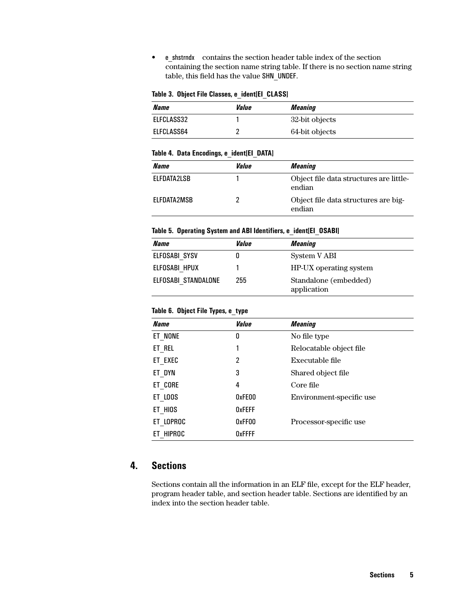<span id="page-4-0"></span>• e\_shstrndx contains the section header table index of the section containing the section name string table. If there is no section name string table, this field has the value SHN\_UNDEF.

#### **Table 3. Object File Classes, e\_ident[EI\_CLASS]**

| Name       | <i><b>Value</b></i> | Meaning        |
|------------|---------------------|----------------|
| ELFCLASS32 |                     | 32-bit objects |
| ELFCLASS64 |                     | 64-bit objects |

#### **Table 4. Data Encodings, e\_ident[EI\_DATA]**

| Name               | Value | <i><b>Meaning</b></i>                             |
|--------------------|-------|---------------------------------------------------|
| <b>FLFDATA2LSB</b> |       | Object file data structures are little-<br>endian |
| <b>FLFDATA2MSB</b> |       | Object file data structures are big-<br>endian    |

### **Table 5. Operating System and ABI Identifiers, e\_ident[EI\_OSABI]**

| Name                | <i><b>Value</b></i> | Meaning                              |
|---------------------|---------------------|--------------------------------------|
| ELFOSABI SYSV       |                     | System V ABI                         |
| ELFOSABI HPUX       |                     | HP-UX operating system               |
| ELFOSABI STANDALONE | 255                 | Standalone (embedded)<br>application |

### **Table 6. Object File Types, e\_type**

| <b>Name</b> | Value         | <b>Meaning</b>           |
|-------------|---------------|--------------------------|
| ET NONE     | 0             | No file type             |
| ET REL      | 1             | Relocatable object file  |
| ET EXEC     | 2             | Executable file          |
| ET DYN      | 3             | Shared object file       |
| ET CORE     | 4             | Core file                |
| ET LOOS     | 0xFE00        | Environment-specific use |
| ET HIOS     | <b>OxFEFF</b> |                          |
| ET LOPROC   | 0xFF00        | Processor-specific use   |
| ET HIPROC   | <b>OxFFFF</b> |                          |

## **4. Sections**

Sections contain all the information in an ELF file, except for the ELF header, program header table, and section header table. Sections are identified by an index into the section header table.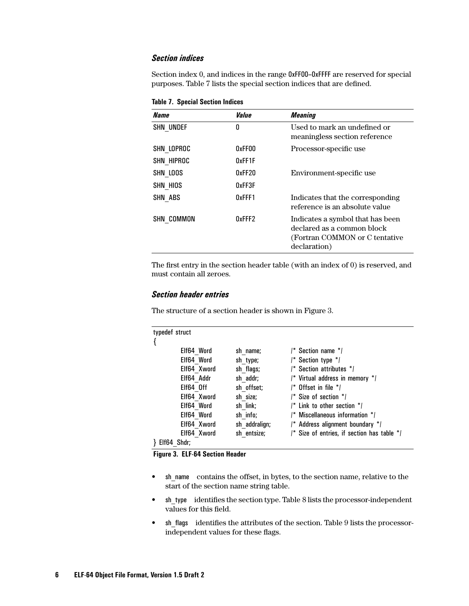### *Section indices*

Section index 0, and indices in the range 0xFF00–0xFFFF are reserved for special purposes. Table 7 lists the special section indices that are defined.

**Table 7. Special Section Indices**

| Name             | Value  | <b>Meaning</b>                                                                                                   |
|------------------|--------|------------------------------------------------------------------------------------------------------------------|
| <b>SHN UNDEF</b> | 0      | Used to mark an undefined or<br>meaningless section reference                                                    |
| SHN LOPROC       | 0xFF00 | Processor-specific use                                                                                           |
| SHN HIPROC       | 0xFF1F |                                                                                                                  |
| SHN LOOS         | 0xFF20 | Environment-specific use                                                                                         |
| SHN HIOS         | 0xFF3F |                                                                                                                  |
| SHN ABS          | 0xFFF1 | Indicates that the corresponding<br>reference is an absolute value                                               |
| SHN COMMON       | 0xFFF2 | Indicates a symbol that has been<br>declared as a common block<br>(Fortran COMMON or C tentative<br>declaration) |

The first entry in the section header table (with an index of 0) is reserved, and must contain all zeroes.

### *Section header entries*

The structure of a section header is shown in Figure 3.

```
typedef struct
{
        Elf64 Word sh_name; \frac{1}{2} Section name */
        Elf64_Word sh_type; /* Section type */
        Elf64 Xword sh flags; \frac{1}{2} Section attributes */
        Elf64 Addr sh addr; \frac{1}{2} Virtual address in memory */
        Elf64 Off sh offset; /* Offset in file */
        Elf64 Xword sh_size; / Size of section */
        Elf64 Word sh link; / Link to other section ^*/
        Elf64 Word sh info; \frac{1}{2} Miscellaneous information */
        Elf64 Xword sh addralign; /* Address alignment boundary */
        Elf64 Xword sh entsize; /* Size of entries, if section has table */
} Elf64_Shdr;
```
 **Figure 3. ELF-64 Section Header**

- sh\_name contains the offset, in bytes, to the section name, relative to the start of the section name string table.
- sh type identifies the section type. [Table 8](#page-6-0) lists the processor-independent values for this field.
- sh flags identifies the attributes of the section. [Table 9](#page-7-0) lists the processorindependent values for these flags.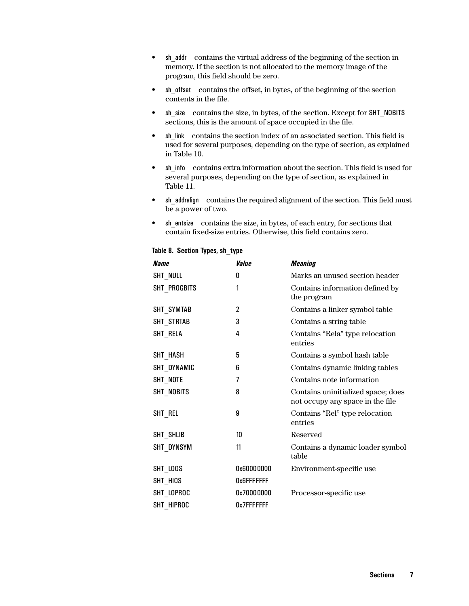- <span id="page-6-0"></span>• sh\_addr contains the virtual address of the beginning of the section in memory. If the section is not allocated to the memory image of the program, this field should be zero.
- sh offset contains the offset, in bytes, of the beginning of the section contents in the file.
- sh\_size contains the size, in bytes, of the section. Except for SHT\_NOBITS sections, this is the amount of space occupied in the file.
- sh link contains the section index of an associated section. This field is used for several purposes, depending on the type of section, as explained in [Table 10.](#page-7-0)
- sh info contains extra information about the section. This field is used for several purposes, depending on the type of section, as explained in [Table 11.](#page-7-0)
- sh addralign contains the required alignment of the section. This field must be a power of two.
- sh\_entsize contains the size, in bytes, of each entry, for sections that contain fixed-size entries. Otherwise, this field contains zero.

| <b>Name</b>  | Value          | <b>Meaning</b>                                                          |
|--------------|----------------|-------------------------------------------------------------------------|
| SHT NULL     | 0              | Marks an unused section header                                          |
| SHT PROGBITS | 1              | Contains information defined by<br>the program                          |
| SHT_SYMTAB   | $\overline{2}$ | Contains a linker symbol table                                          |
| SHT STRTAB   | 3              | Contains a string table                                                 |
| SHT RELA     | 4              | Contains "Rela" type relocation<br>entries                              |
| SHT HASH     | 5              | Contains a symbol hash table                                            |
| SHT_DYNAMIC  | 6              | Contains dynamic linking tables                                         |
| SHT NOTE     | 7              | Contains note information                                               |
| SHT NOBITS   | 8              | Contains uninitialized space; does<br>not occupy any space in the file. |
| SHT REL      | 9              | Contains "Rel" type relocation<br>entries                               |
| SHT SHLIB    | 10             | Reserved                                                                |
| SHT_DYNSYM   | 11             | Contains a dynamic loader symbol<br>table                               |
| SHT_LOOS     | 0x60000000     | Environment-specific use                                                |
| SHT HIOS     | Ox6FFFFFFF     |                                                                         |
| SHT_LOPROC   | 0x70000000     | Processor-specific use                                                  |
| SHT HIPROC   | Ox7FFFFFFF     |                                                                         |

#### **Table 8. Section Types, sh\_type**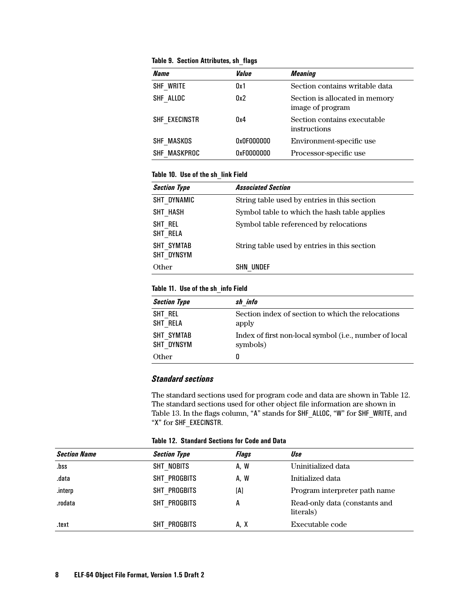<span id="page-7-0"></span>

|  |  | Table 9. Section Attributes, sh flags |  |  |
|--|--|---------------------------------------|--|--|
|--|--|---------------------------------------|--|--|

| Name          | Value      | <b>Meaning</b>                                     |
|---------------|------------|----------------------------------------------------|
| SHF WRITE     | 0x1        | Section contains writable data                     |
| SHF ALLOC     | 0x2        | Section is allocated in memory<br>image of program |
| SHF EXECINSTR | 0x4        | Section contains executable<br>instructions        |
| SHF MASKOS    | 0x0F000000 | Environment-specific use                           |
| SHF MASKPROC  | 0xF0000000 | Processor-specific use                             |

### **Table 10. Use of the sh\_link Field**

| <b>Section Type</b>      | <b>Associated Section</b>                    |
|--------------------------|----------------------------------------------|
| SHT DYNAMIC              | String table used by entries in this section |
| SHT HASH                 | Symbol table to which the hash table applies |
| SHT REL<br>SHT RELA      | Symbol table referenced by relocations       |
| SHT SYMTAB<br>SHT DYNSYM | String table used by entries in this section |
| Other                    | SHN UNDEF                                    |

#### **Table 11. Use of the sh\_info Field**

| <b>Section Type</b>      | sh info                                                            |
|--------------------------|--------------------------------------------------------------------|
| SHT REL<br>SHT RELA      | Section index of section to which the relocations<br>apply         |
| SHT SYMTAB<br>SHT DYNSYM | Index of first non-local symbol (i.e., number of local<br>symbols) |
| Other                    | U                                                                  |

## *Standard sections*

The standard sections used for program code and data are shown in Table 12. The standard sections used for other object file information are shown in [Table 13](#page-8-0). In the flags column, "A" stands for SHF\_ALLOC, "W" for SHF\_WRITE, and "X" for SHF\_EXECINSTR.

**Table 12. Standard Sections for Code and Data** 

| <b>Section Name</b> | <b>Section Type</b> | Flags | Use                                        |
|---------------------|---------------------|-------|--------------------------------------------|
| .bss                | SHT NOBITS          | A, W  | Uninitialized data                         |
| .data               | SHT PROGBITS        | A, W  | Initialized data                           |
| .interp             | SHT PROGBITS        | [A]   | Program interpreter path name              |
| .rodata             | SHT PROGBITS        | A     | Read-only data (constants and<br>literals) |
| .text               | SHT PROGBITS        | A, X  | Executable code                            |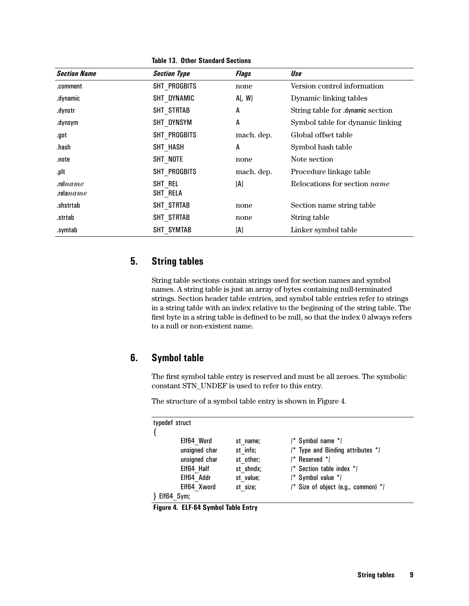<span id="page-8-0"></span>

| <b>Section Name</b>       | <b>Section Type</b> | <b>Flags</b> | Use                                 |
|---------------------------|---------------------|--------------|-------------------------------------|
| .comment                  | SHT PROGBITS        | none         | Version control information         |
| .dynamic                  | SHT DYNAMIC         | A[, W]       | Dynamic linking tables              |
| .dynstr                   | SHT STRTAB          | A            | String table for .dynamic section   |
| .dynsym                   | SHT DYNSYM          | A            | Symbol table for dynamic linking    |
| .got                      | SHT PROGBITS        | mach. dep.   | Global offset table                 |
| .hash                     | SHT HASH            | A            | Symbol hash table                   |
| .note                     | SHT NOTE            | none         | Note section                        |
| .plt                      | SHT PROGBITS        | mach. dep.   | Procedure linkage table             |
| rel $name$<br>rela $name$ | SHT REL<br>SHT RELA | [A]          | Relocations for section <i>name</i> |
| .shstrtab                 | SHT STRTAB          | none         | Section name string table           |
| .strtab                   | SHT STRTAB          | none         | String table                        |
| .symtab                   | SHT SYMTAB          | [A]          | Linker symbol table                 |

**Table 13. Other Standard Sections** 

## **5. String tables**

String table sections contain strings used for section names and symbol names. A string table is just an array of bytes containing null-terminated strings. Section header table entries, and symbol table entries refer to strings in a string table with an index relative to the beginning of the string table. The first byte in a string table is defined to be null, so that the index 0 always refers to a null or non-existent name.

## **6. Symbol table**

The first symbol table entry is reserved and must be all zeroes. The symbolic constant STN\_UNDEF is used to refer to this entry.

The structure of a symbol table entry is shown in Figure 4.

| typedef struct |               |           |                                             |
|----------------|---------------|-----------|---------------------------------------------|
|                |               |           |                                             |
|                | Elf64 Word    | st name;  | /* Symbol name */                           |
|                | unsigned char | st info;  | /* Type and Binding attributes */           |
|                | unsigned char | st other; | $\prime^*$ Reserved $\prime$ /              |
|                | Elf64 Half    | st shndx; | $I^*$ Section table index $*I$              |
|                | Elf64 Addr    | st value; | $\prime^*$ Symbol value $\prime$ /          |
|                | Elf64 Xword   | st size;  | $\prime^*$ Size of object (e.g., common) */ |
| Elf64 Sym;     |               |           |                                             |

 **Figure 4. ELF-64 Symbol Table Entry**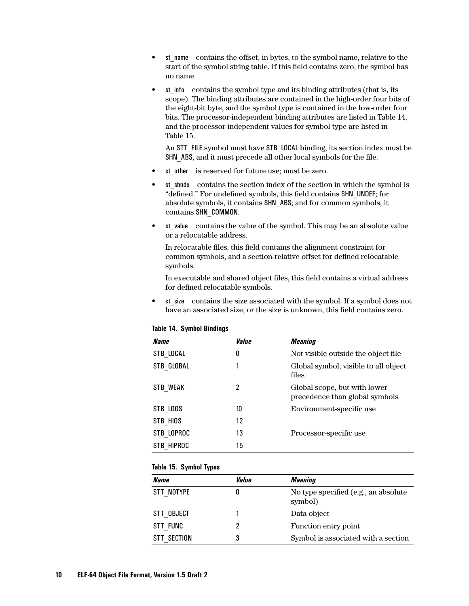- st\_name contains the offset, in bytes, to the symbol name, relative to the start of the symbol string table. If this field contains zero, the symbol has no name.
- st info contains the symbol type and its binding attributes (that is, its scope). The binding attributes are contained in the high-order four bits of the eight-bit byte, and the symbol type is contained in the low-order four bits. The processor-independent binding attributes are listed in Table 14, and the processor-independent values for symbol type are listed in Table 15.

An STT\_FILE symbol must have STB\_LOCAL binding, its section index must be SHN ABS, and it must precede all other local symbols for the file.

- st other is reserved for future use; must be zero.
- st shndx contains the section index of the section in which the symbol is "defined." For undefined symbols, this field contains SHN\_UNDEF; for absolute symbols, it contains SHN\_ABS; and for common symbols, it contains SHN\_COMMON.
- st value contains the value of the symbol. This may be an absolute value or a relocatable address.

In relocatable files, this field contains the alignment constraint for common symbols, and a section-relative offset for defined relocatable symbols.

In executable and shared object files, this field contains a virtual address for defined relocatable symbols.

st size contains the size associated with the symbol. If a symbol does not have an associated size, or the size is unknown, this field contains zero.

| Name            | Value | <i><b>Meaning</b></i>                                          |
|-----------------|-------|----------------------------------------------------------------|
| STB LOCAL       | 0     | Not visible outside the object file.                           |
| STB GLOBAL      |       | Global symbol, visible to all object<br>files                  |
| <b>STB WEAK</b> | 2     | Global scope, but with lower<br>precedence than global symbols |
| STB LOOS        | 10    | Environment-specific use                                       |
| STB HIOS        | 12    |                                                                |
| STB LOPROC      | 13    | Processor-specific use                                         |
| STB HIPROC      | 15    |                                                                |

#### **Table 14. Symbol Bindings**

#### **Table 15. Symbol Types**

| Name        | Value | <i><b>Meaning</b></i>                           |
|-------------|-------|-------------------------------------------------|
| STT NOTYPE  | U     | No type specified (e.g., an absolute<br>symbol) |
| STT OBJECT  |       | Data object                                     |
| STT FUNC    | 7     | Function entry point                            |
| STT SECTION | 3     | Symbol is associated with a section             |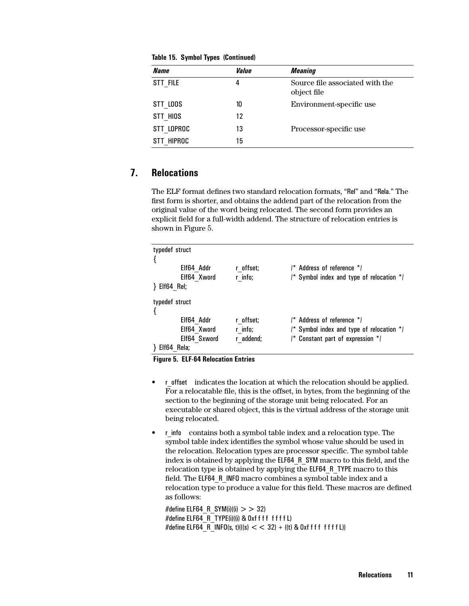| Name       | Value | <i><b>Meaning</b></i>                          |
|------------|-------|------------------------------------------------|
| STT FILE   | 4     | Source file associated with the<br>object file |
| STT LOOS   | 10    | Environment-specific use                       |
| STT HIOS   | 12    |                                                |
| STT LOPROC | 13    | Processor-specific use                         |
| STT HIPROC | 15    |                                                |

**Table 15. Symbol Types (Continued)**

## **7. Relocations**

The ELF format defines two standard relocation formats, "Rel" and "Rela." The first form is shorter, and obtains the addend part of the relocation from the original value of the word being relocated. The second form provides an explicit field for a full-width addend. The structure of relocation entries is shown in Figure 5.

| typedef struct            |           |                                           |
|---------------------------|-----------|-------------------------------------------|
| Elf64 Addr                | r offset; | /* Address of reference */                |
| Elf64 Xword<br>Elf64 Rel; | r info;   | /* Symbol index and type of relocation */ |
| typedef struct            |           |                                           |
|                           |           |                                           |
| Elf64 Addr                | r offset; | /* Address of reference */                |
| Elf64 Xword               | r info;   | /* Symbol index and type of relocation */ |
| Elf64 Sxword              | r addend; | /* Constant part of expression */         |
| Elf64<br>Rela:            |           |                                           |

 **Figure 5. ELF-64 Relocation Entries**

- r offset indicates the location at which the relocation should be applied. For a relocatable file, this is the offset, in bytes, from the beginning of the section to the beginning of the storage unit being relocated. For an executable or shared object, this is the virtual address of the storage unit being relocated.
- r info contains both a symbol table index and a relocation type. The symbol table index identifies the symbol whose value should be used in the relocation. Relocation types are processor specific. The symbol table index is obtained by applying the ELF64\_R\_SYM macro to this field, and the relocation type is obtained by applying the ELF64\_R\_TYPE macro to this field. The ELF64\_R\_INFO macro combines a symbol table index and a relocation type to produce a value for this field. These macros are defined as follows:

#define ELF64\_R\_SYM(i)((i)  $>$  > 32) #define ELF64 R TYPE(i)((i) & 0xf f f f f f f f l) #define ELF64 R INFO(s, t)(((s)  $<< 32$ ) + ((t) & 0xf f f f f f f f L))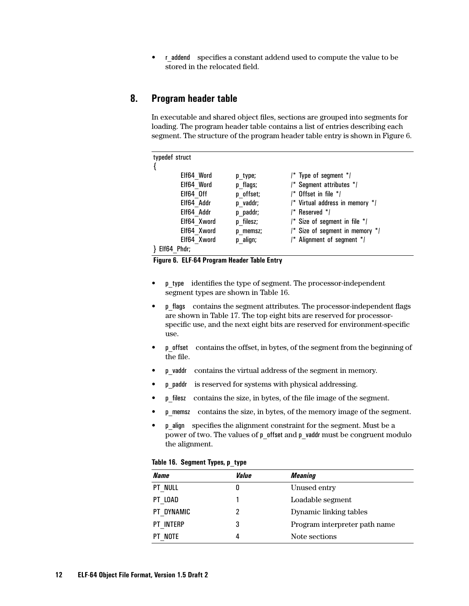• r addend specifies a constant addend used to compute the value to be stored in the relocated field.

## **8. Program header table**

In executable and shared object files, sections are grouped into segments for loading. The program header table contains a list of entries describing each segment. The structure of the program header table entry is shown in Figure 6.

| typedef struct |             |           |                                     |
|----------------|-------------|-----------|-------------------------------------|
|                |             |           |                                     |
|                | Elf64 Word  | p type;   | $\prime^*$ Type of segment $\prime$ |
|                | Elf64 Word  | p flags;  | /* Segment attributes */            |
|                | Elf64 Off   | p offset; | /* Offset in file */                |
|                | Elf64 Addr  | p vaddr;  | /* Virtual address in memory */     |
|                | Elf64 Addr  | p paddr;  | /* Reserved */                      |
|                | Elf64 Xword | p filesz; | $/*$ Size of segment in file $*$    |
|                | Elf64 Xword | p memsz;  | /* Size of segment in memory */     |
|                | Elf64 Xword | p align;  | /* Alignment of segment */          |
| י יה יה חזות נ |             |           |                                     |

} Elf64\_Phdr;

 **Figure 6. ELF-64 Program Header Table Entry**

- p\_type identifies the type of segment. The processor-independent segment types are shown in Table 16.
- p\_flags contains the segment attributes. The processor-independent flags are shown in [Table 17.](#page-12-0) The top eight bits are reserved for processorspecific use, and the next eight bits are reserved for environment-specific use.
- p\_offset contains the offset, in bytes, of the segment from the beginning of the file.
- p\_vaddr contains the virtual address of the segment in memory.
- p\_paddr is reserved for systems with physical addressing.
- p\_filesz contains the size, in bytes, of the file image of the segment.
- p memsz contains the size, in bytes, of the memory image of the segment.
- p\_align specifies the alignment constraint for the segment. Must be a power of two. The values of p\_offset and p\_vaddr must be congruent modulo the alignment.

|  |  | Table 16. Segment Types, p_type |  |
|--|--|---------------------------------|--|
|--|--|---------------------------------|--|

| <b>Name</b>       | Value | <b>Meaning</b>                |
|-------------------|-------|-------------------------------|
| <b>PT NULL</b>    | 0     | Unused entry                  |
| PT LOAD           |       | Loadable segment              |
| PT DYNAMIC        |       | Dynamic linking tables        |
| PT INTERP         | 3     | Program interpreter path name |
| <sup>.</sup> Note |       | Note sections                 |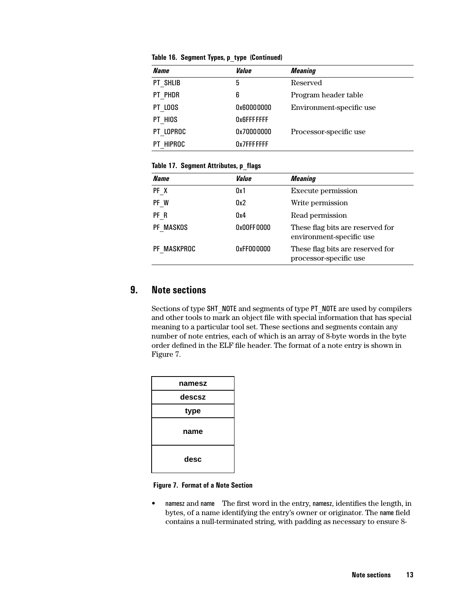| <b>Name</b> | Value       | <b>Meaning</b>           |
|-------------|-------------|--------------------------|
| PT SHLIB    | 5           | Reserved                 |
| PT PHDR     | 6           | Program header table     |
| PT LOOS     | 0x60000000  | Environment-specific use |
| PT HIOS     | 0x6FFFFFFF  |                          |
| PT LOPROC   | 0x70000000  | Processor-specific use   |
| PT HIPROC   | 0x7FFFFFFFF |                          |

<span id="page-12-0"></span>**Table 16. Segment Types, p\_type (Continued)**

### **Table 17. Segment Attributes, p\_flags**

| Name        | Value      | <i><b>Meaning</b></i>                                        |
|-------------|------------|--------------------------------------------------------------|
| PF X        | 0x1        | Execute permission                                           |
| PF W        | 0x2        | Write permission                                             |
| PF R        | 0x4        | Read permission                                              |
| PF MASKOS   | 0x00FF0000 | These flag bits are reserved for<br>environment-specific use |
| PF MASKPROC | 0xFF000000 | These flag bits are reserved for<br>processor-specific use   |

## **9. Note sections**

Sections of type SHT\_NOTE and segments of type PT\_NOTE are used by compilers and other tools to mark an object file with special information that has special meaning to a particular tool set. These sections and segments contain any number of note entries, each of which is an array of 8-byte words in the byte order defined in the ELF file header. The format of a note entry is shown in Figure 7.

| namesz |  |
|--------|--|
| descsz |  |
| type   |  |
| name   |  |
| desc   |  |

#### **Figure 7. Format of a Note Section**

• namesz and name The first word in the entry, namesz, identifies the length, in bytes, of a name identifying the entry's owner or originator. The name field contains a null-terminated string, with padding as necessary to ensure 8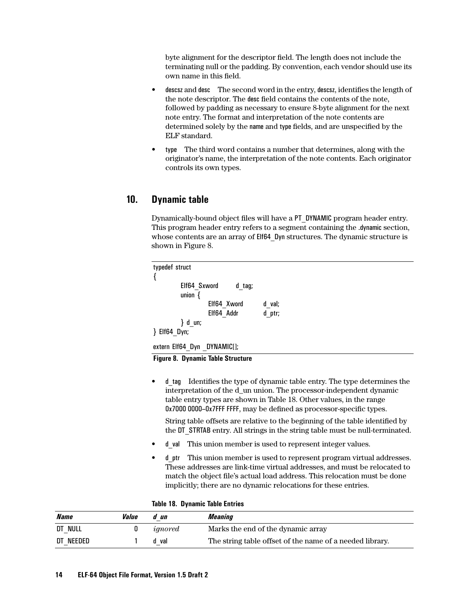byte alignment for the descriptor field. The length does not include the terminating null or the padding. By convention, each vendor should use its own name in this field.

- descsz and desc The second word in the entry, descsz, identifies the length of the note descriptor. The desc field contains the contents of the note, followed by padding as necessary to ensure 8-byte alignment for the next note entry. The format and interpretation of the note contents are determined solely by the name and type fields, and are unspecified by the ELF standard.
- type The third word contains a number that determines, along with the originator's name, the interpretation of the note contents. Each originator controls its own types.

## **10. Dynamic table**

Dynamically-bound object files will have a PT\_DYNAMIC program header entry. This program header entry refers to a segment containing the .dynamic section, whose contents are an array of Elf64 Dyn structures. The dynamic structure is shown in Figure 8.

```
typedef struct
{
        Elf64 Sxword d tag;
        union {
                Elf64 Xword d val;
                Elf64_Addr d_ptr;
        } d_un;
} Elf64_Dyn;
```

```
extern Elf64 Dyn DYNAMIC[];
```
 **Figure 8. Dynamic Table Structure**

• d tag Identifies the type of dynamic table entry. The type determines the interpretation of the d\_un union. The processor-independent dynamic table entry types are shown in Table 18. Other values, in the range 0x7000 0000–0x7FFF FFFF, may be defined as processor-specific types.

String table offsets are relative to the beginning of the table identified by the DT\_STRTAB entry. All strings in the string table must be null-terminated.

- d val This union member is used to represent integer values.
- d ptr This union member is used to represent program virtual addresses. These addresses are link-time virtual addresses, and must be relocated to match the object file's actual load address. This relocation must be done implicitly; there are no dynamic relocations for these entries.

|  |  | Table 18. Dynamic Table Entries |  |  |
|--|--|---------------------------------|--|--|
|--|--|---------------------------------|--|--|

| <i><b>Name</b></i> | Value | d un    | Meaning                                                  |
|--------------------|-------|---------|----------------------------------------------------------|
| DT NULL            |       | ignored | Marks the end of the dynamic array                       |
| DT NEEDED          |       | d val   | The string table offset of the name of a needed library. |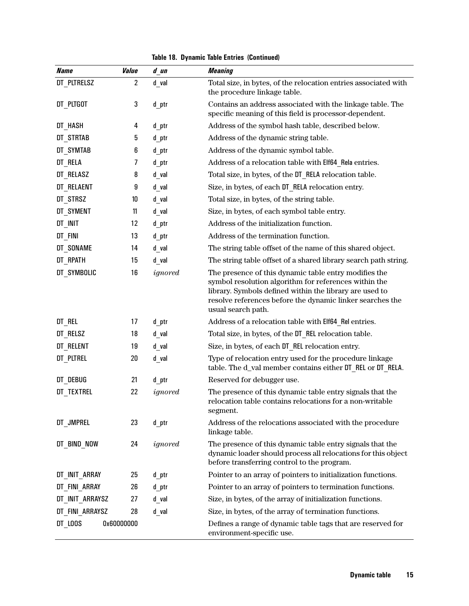|  |  | <b>Table 18. Dynamic Table Entries (Continued)</b> |  |
|--|--|----------------------------------------------------|--|
|--|--|----------------------------------------------------|--|

| <b>Name</b>     | Value          | d un    | <b>Meaning</b>                                                                                                                                                                                                                                               |
|-----------------|----------------|---------|--------------------------------------------------------------------------------------------------------------------------------------------------------------------------------------------------------------------------------------------------------------|
| DT PLTRELSZ     | $\overline{2}$ | $d$ val | Total size, in bytes, of the relocation entries associated with<br>the procedure linkage table.                                                                                                                                                              |
| DT PLTGOT       | 3              | d_ptr   | Contains an address associated with the linkage table. The<br>specific meaning of this field is processor-dependent.                                                                                                                                         |
| DT HASH         | 4              | d_ptr   | Address of the symbol hash table, described below.                                                                                                                                                                                                           |
| DT STRTAB       | 5              | d ptr   | Address of the dynamic string table.                                                                                                                                                                                                                         |
| DT SYMTAB       | 6              | d_ptr   | Address of the dynamic symbol table.                                                                                                                                                                                                                         |
| DT_RELA         | 7              | d_ptr   | Address of a relocation table with Elf64 Rela entries.                                                                                                                                                                                                       |
| DT RELASZ       | 8              | $d$ val | Total size, in bytes, of the DT RELA relocation table.                                                                                                                                                                                                       |
| DT RELAENT      | 9              | d val   | Size, in bytes, of each DT RELA relocation entry.                                                                                                                                                                                                            |
| DT STRSZ        | 10             | d_val   | Total size, in bytes, of the string table.                                                                                                                                                                                                                   |
| DT SYMENT       | 11             | $d$ val | Size, in bytes, of each symbol table entry.                                                                                                                                                                                                                  |
| DT INIT         | 12             | d_ptr   | Address of the initialization function.                                                                                                                                                                                                                      |
| DT_FINI         | 13             | d_ptr   | Address of the termination function.                                                                                                                                                                                                                         |
| DT_SONAME       | 14             | $d$ val | The string table offset of the name of this shared object.                                                                                                                                                                                                   |
| DT RPATH        | 15             | d val   | The string table offset of a shared library search path string.                                                                                                                                                                                              |
| DT SYMBOLIC     | 16             | ignored | The presence of this dynamic table entry modifies the<br>symbol resolution algorithm for references within the<br>library. Symbols defined within the library are used to<br>resolve references before the dynamic linker searches the<br>usual search path. |
| DT REL          | 17             | d_ptr   | Address of a relocation table with Elf64 Rel entries.                                                                                                                                                                                                        |
| DT RELSZ        | 18             | d_val   | Total size, in bytes, of the DT REL relocation table.                                                                                                                                                                                                        |
| DT RELENT       | 19             | d_val   | Size, in bytes, of each DT REL relocation entry.                                                                                                                                                                                                             |
| DT_PLTREL       | 20             | $d$ val | Type of relocation entry used for the procedure linkage<br>table. The d_val member contains either DT_REL or DT_RELA.                                                                                                                                        |
| DT DEBUG        | 21             | d_ptr   | Reserved for debugger use.                                                                                                                                                                                                                                   |
| DT TEXTREL      | 22             | ignored | The presence of this dynamic table entry signals that the<br>relocation table contains relocations for a non-writable<br>segment.                                                                                                                            |
| DT JMPREL       | 23             | d ptr   | Address of the relocations associated with the procedure<br>linkage table.                                                                                                                                                                                   |
| DT BIND NOW     | 24             | ignored | The presence of this dynamic table entry signals that the<br>dynamic loader should process all relocations for this object<br>before transferring control to the program.                                                                                    |
| DT INIT ARRAY   | 25             | d ptr   | Pointer to an array of pointers to initialization functions.                                                                                                                                                                                                 |
| DT FINI ARRAY   | 26             | d ptr   | Pointer to an array of pointers to termination functions.                                                                                                                                                                                                    |
| DT INIT ARRAYSZ | 27             | d val   | Size, in bytes, of the array of initialization functions.                                                                                                                                                                                                    |
| DT FINI ARRAYSZ | 28             | d val   | Size, in bytes, of the array of termination functions.                                                                                                                                                                                                       |
| DT LOOS         | 0x60000000     |         | Defines a range of dynamic table tags that are reserved for<br>environment-specific use.                                                                                                                                                                     |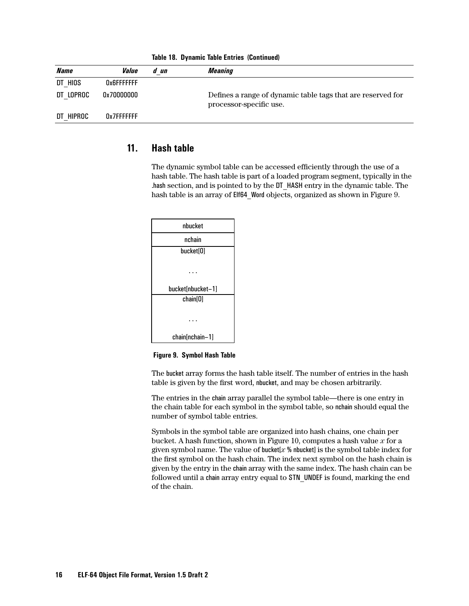| <i><b>Name</b></i> | <i><b>Value</b></i> | d un | Meaning                                                                                |
|--------------------|---------------------|------|----------------------------------------------------------------------------------------|
| DT HIOS            | 0x6FFFFFFF          |      |                                                                                        |
| DT LOPROC          | 0x70000000          |      | Defines a range of dynamic table tags that are reserved for<br>processor-specific use. |
| DT HIPROC          | 0x7FFFFFFFF         |      |                                                                                        |

**Table 18. Dynamic Table Entries (Continued)**

## **11. Hash table**

The dynamic symbol table can be accessed efficiently through the use of a hash table. The hash table is part of a loaded program segment, typically in the .hash section, and is pointed to by the DT\_HASH entry in the dynamic table. The hash table is an array of Elf64\_Word objects, organized as shown in Figure 9.

| nbucket           |
|-------------------|
| nchain            |
| bucket[0]         |
|                   |
| bucket[nbucket-1] |
| chain[0]          |
|                   |
|                   |
| chain[nchain-1]   |

 **Figure 9. Symbol Hash Table**

The bucket array forms the hash table itself. The number of entries in the hash table is given by the first word, nbucket, and may be chosen arbitrarily.

The entries in the chain array parallel the symbol table—there is one entry in the chain table for each symbol in the symbol table, so nchain should equal the number of symbol table entries.

Symbols in the symbol table are organized into hash chains, one chain per bucket. A hash function, shown in F[igure 10, c](#page-16-0)omputes a hash value *x* for a given symbol name. The value of bucket[*x* % nbucket] is the symbol table index for the first symbol on the hash chain. The index next symbol on the hash chain is given by the entry in the chain array with the same index. The hash chain can be followed until a chain array entry equal to STN UNDEF is found, marking the end of the chain.